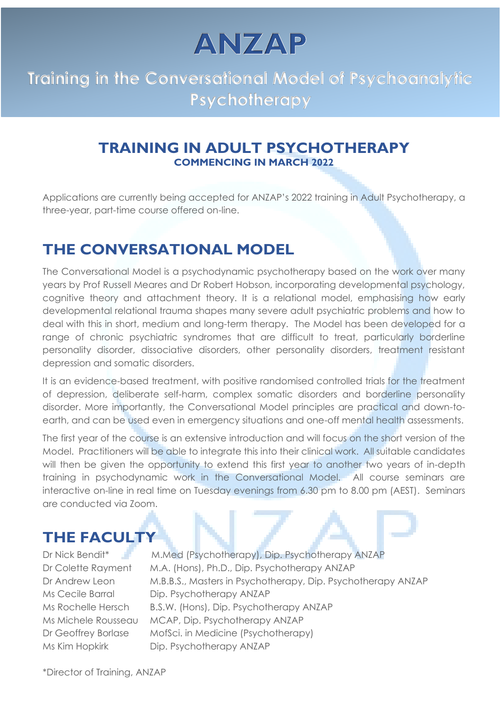ANZAP

## **Training in the Conversational Model of Psychoanalytic Psychotherapy**

#### **TRAINING IN ADULT PSYCHOTHERAPY COMMENCING IN MARCH 2022**

Applications are currently being accepted for ANZAP's 2022 training in Adult Psychotherapy, a three-year, part-time course offered on-line.

### **THE CONVERSATIONAL MODEL**

The Conversational Model is a psychodynamic psychotherapy based on the work over many years by Prof Russell Meares and Dr Robert Hobson, incorporating developmental psychology, cognitive theory and attachment theory. It is a relational model, emphasising how early developmental relational trauma shapes many severe adult psychiatric problems and how to deal with this in short, medium and long-term therapy. The Model has been developed for a range of chronic psychiatric syndromes that are difficult to treat, particularly borderline personality disorder, dissociative disorders, other personality disorders, treatment resistant depression and somatic disorders.

It is an evidence-based treatment, with positive randomised controlled trials for the treatment of depression, deliberate self-harm, complex somatic disorders and borderline personality disorder. More importantly, the Conversational Model principles are practical and down-toearth, and can be used even in emergency situations and one-off mental health assessments.

The first year of the course is an extensive introduction and will focus on the short version of the Model. Practitioners will be able to integrate this into their clinical work. All suitable candidates will then be given the opportunity to extend this first year to another two years of in-depth training in psychodynamic work in the Conversational Model. All course seminars are interactive on-line in real time on Tuesday evenings from 6.30 pm to 8.00 pm (AEST). Seminars are conducted via Zoom.

#### **THE FACULTY**

Dr Nick Bendit<sup>\*</sup> N.Med (Psychotherapy), Dip. Psychotherapy ANZAP Dr Colette Rayment M.A. (Hons), Ph.D., Dip. Psychotherapy ANZAP Dr Andrew Leon M.B.B.S., Masters in Psychotherapy, Dip. Psychotherapy ANZAP Ms Cecile Barral Dip. Psychotherapy ANZAP Ms Rochelle Hersch B.S.W. (Hons), Dip. Psychotherapy ANZAP Ms Michele Rousseau MCAP, Dip. Psychotherapy ANZAP Dr Geoffrey Borlase MofSci. in Medicine (Psychotherapy) Ms Kim Hopkirk Dip. Psychotherapy ANZAP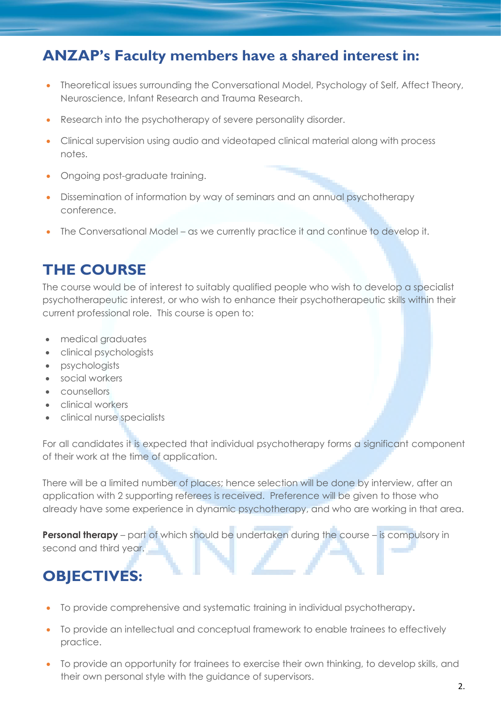### **ANZAP's Faculty members have a shared interest in:**

- Theoretical issues surrounding the Conversational Model, Psychology of Self, Affect Theory, Neuroscience, Infant Research and Trauma Research.
- Research into the psychotherapy of severe personality disorder.
- Clinical supervision using audio and videotaped clinical material along with process notes.
- Ongoing post-graduate training.
- Dissemination of information by way of seminars and an annual psychotherapy conference.
- The Conversational Model as we currently practice it and continue to develop it.

### **THE COURSE**

The course would be of interest to suitably qualified people who wish to develop a specialist psychotherapeutic interest, or who wish to enhance their psychotherapeutic skills within their current professional role. This course is open to:

- medical graduates
- clinical psychologists
- psychologists
- social workers
- counsellors
- clinical workers
- clinical nurse specialists

For all candidates it is expected that individual psychotherapy forms a significant component of their work at the time of application.

There will be a limited number of places; hence selection will be done by interview, after an application with 2 supporting referees is received. Preference will be given to those who already have some experience in dynamic psychotherapy, and who are working in that area.

**Personal therapy** – part of which should be undertaken during the course – is compulsory in second and third year.

## **OBJECTIVES:**

- To provide comprehensive and systematic training in individual psychotherapy**.**
- To provide an intellectual and conceptual framework to enable trainees to effectively practice.
- To provide an opportunity for trainees to exercise their own thinking, to develop skills, and their own personal style with the guidance of supervisors.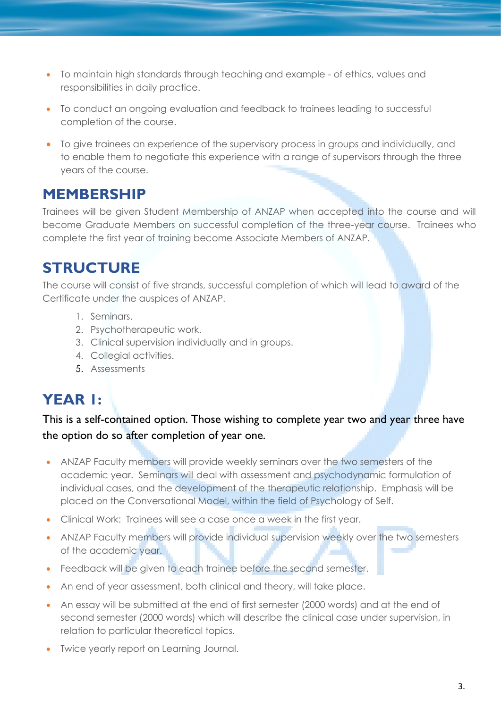- To maintain high standards through teaching and example of ethics, values and responsibilities in daily practice.
- To conduct an ongoing evaluation and feedback to trainees leading to successful completion of the course.
- To give trainees an experience of the supervisory process in groups and individually, and to enable them to negotiate this experience with a range of supervisors through the three years of the course.

#### **MEMBERSHIP**

Trainees will be given Student Membership of ANZAP when accepted into the course and will become Graduate Members on successful completion of the three-year course. Trainees who complete the first year of training become Associate Members of ANZAP.

## **STRUCTURE**

The course will consist of five strands, successful completion of which will lead to award of the Certificate under the auspices of ANZAP.

- 1. Seminars.
- 2. Psychotherapeutic work.
- 3. Clinical supervision individually and in groups.
- 4. Collegial activities.
- 5. Assessments

# **YEAR 1:**

This is a self-contained option. Those wishing to complete year two and year three have the option do so after completion of year one.

- ANZAP Faculty members will provide weekly seminars over the two semesters of the academic year. Seminars will deal with assessment and psychodynamic formulation of individual cases, and the development of the therapeutic relationship. Emphasis will be placed on the Conversational Model, within the field of Psychology of Self.
- Clinical Work: Trainees will see a case once a week in the first year.
- ANZAP Faculty members will provide individual supervision weekly over the two semesters of the academic year.
- Feedback will be given to each trainee before the second semester.
- An end of year assessment, both clinical and theory, will take place.
- An essay will be submitted at the end of first semester (2000 words) and at the end of second semester (2000 words) which will describe the clinical case under supervision, in relation to particular theoretical topics.
- Twice yearly report on Learning Journal.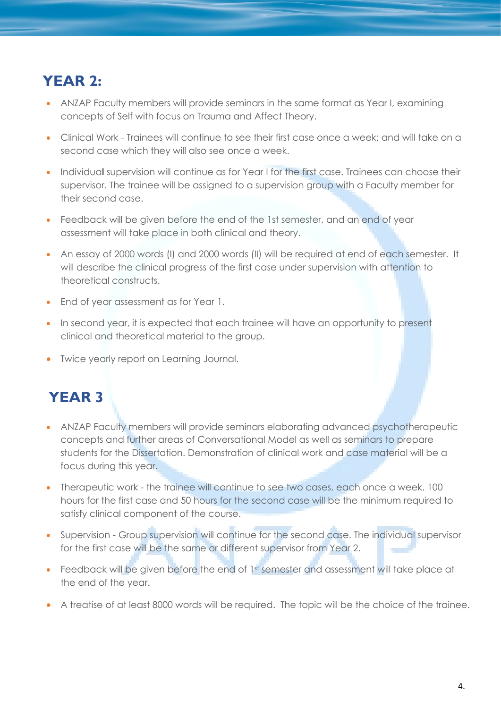## **YEAR 2:**

- ANZAP Faculty members will provide seminars in the same format as Year I, examining concepts of Self with focus on Trauma and Affect Theory.
- Clinical Work Trainees will continue to see their first case once a week; and will take on a second case which they will also see once a week.
- Individual supervision will continue as for Year I for the first case. Trainees can choose their supervisor. The trainee will be assigned to a supervision group with a Faculty member for their second case.
- Feedback will be given before the end of the 1st semester, and an end of year assessment will take place in both clinical and theory.
- An essay of 2000 words (I) and 2000 words (II) will be required at end of each semester. It will describe the clinical progress of the first case under supervision with attention to theoretical constructs.
- End of year assessment as for Year 1.
- In second year, it is expected that each trainee will have an opportunity to present clinical and theoretical material to the group.
- Twice yearly report on Learning Journal.

## **YEAR 3**

- ANZAP Faculty members will provide seminars elaborating advanced psychotherapeutic concepts and further areas of Conversational Model as well as seminars to prepare students for the Dissertation. Demonstration of clinical work and case material will be a focus during this year.
- Therapeutic work the trainee will continue to see two cases, each once a week. 100 hours for the first case and 50 hours for the second case will be the minimum required to satisfy clinical component of the course.
- Supervision Group supervision will continue for the second case. The individual supervisor for the first case will be the same or different supervisor from Year 2.
- Feedback will be given before the end of 1st semester and assessment will take place at the end of the year.
- A treatise of at least 8000 words will be required. The topic will be the choice of the trainee.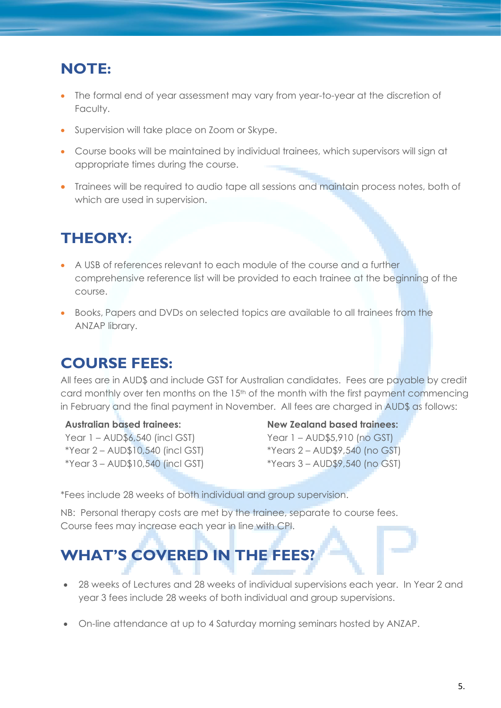### **NOTE:**

- The formal end of year assessment may vary from year-to-year at the discretion of Faculty.
- Supervision will take place on Zoom or Skype.
- Course books will be maintained by individual trainees, which supervisors will sign at appropriate times during the course.
- Trainees will be required to audio tape all sessions and maintain process notes, both of which are used in supervision.

## **THEORY:**

- A USB of references relevant to each module of the course and a further comprehensive reference list will be provided to each trainee at the beginning of the course.
- Books, Papers and DVDs on selected topics are available to all trainees from the ANZAP library.

## **COURSE FEES:**

All fees are in AUD\$ and include GST for Australian candidates. Fees are payable by credit card monthly over ten months on the 15<sup>th</sup> of the month with the first payment commencing in February and the final payment in November. All fees are charged in AUD\$ as follows:

#### **Australian based trainees:**

Year 1 – AUD\$6,540 (incl GST) \*Year 2 – AUD\$10,540 (incl GST) \*Year 3 – AUD\$10,540 (incl GST)

#### **New Zealand based trainees:**

Year 1 – AUD\$5,910 (no GST) \*Years 2 – AUD\$9,540 (no GST) \*Years 3 – AUD\$9,540 (no GST)

\*Fees include 28 weeks of both individual and group supervision.

NB: Personal therapy costs are met by the trainee, separate to course fees. Course fees may increase each year in line with CPI.

# **WHAT'S COVERED IN THE FEES?**

- 28 weeks of Lectures and 28 weeks of individual supervisions each year. In Year 2 and year 3 fees include 28 weeks of both individual and group supervisions.
- On-line attendance at up to 4 Saturday morning seminars hosted by ANZAP.